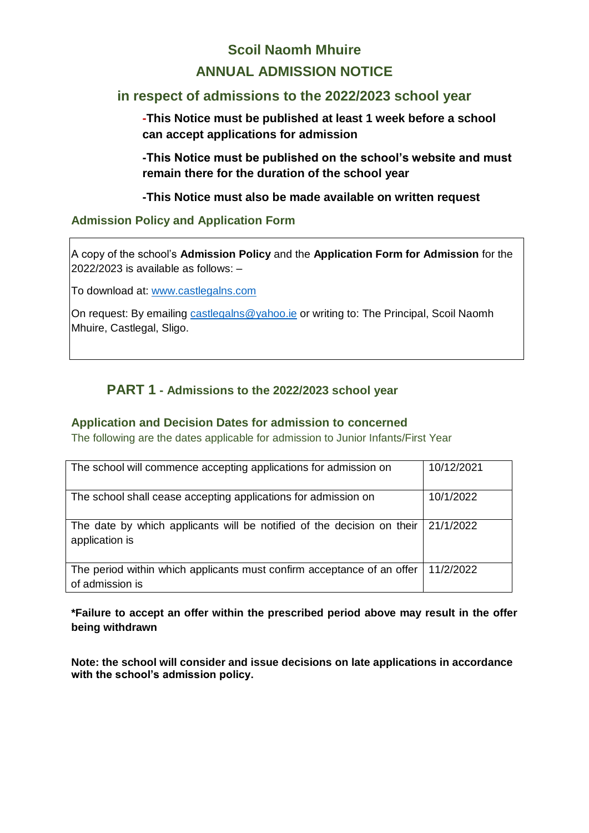# **Scoil Naomh Mhuire ANNUAL ADMISSION NOTICE**

# **in respect of admissions to the 2022/2023 school year**

**-This Notice must be published at least 1 week before a school can accept applications for admission**

**-This Notice must be published on the school's website and must remain there for the duration of the school year** 

**-This Notice must also be made available on written request**

# **Admission Policy and Application Form**

A copy of the school's **Admission Policy** and the **Application Form for Admission** for the 2022/2023 is available as follows: –

To download at: www.castlegalns.com

On request: By emailing castlegalns @yahoo.ie or writing to: The Principal, Scoil Naomh Mhuire, Castlegal, Sligo.

# **PART 1 - Admissions to the 2022/2023 school year**

#### **Application and Decision Dates for admission to concerned**

The following are the dates applicable for admission to Junior Infants/First Year

| The school will commence accepting applications for admission on                          | 10/12/2021 |
|-------------------------------------------------------------------------------------------|------------|
| The school shall cease accepting applications for admission on                            | 10/1/2022  |
| The date by which applicants will be notified of the decision on their<br>application is  | 21/1/2022  |
| The period within which applicants must confirm acceptance of an offer<br>of admission is | 11/2/2022  |

#### **\*Failure to accept an offer within the prescribed period above may result in the offer being withdrawn**

**Note: the school will consider and issue decisions on late applications in accordance with the school's admission policy.**